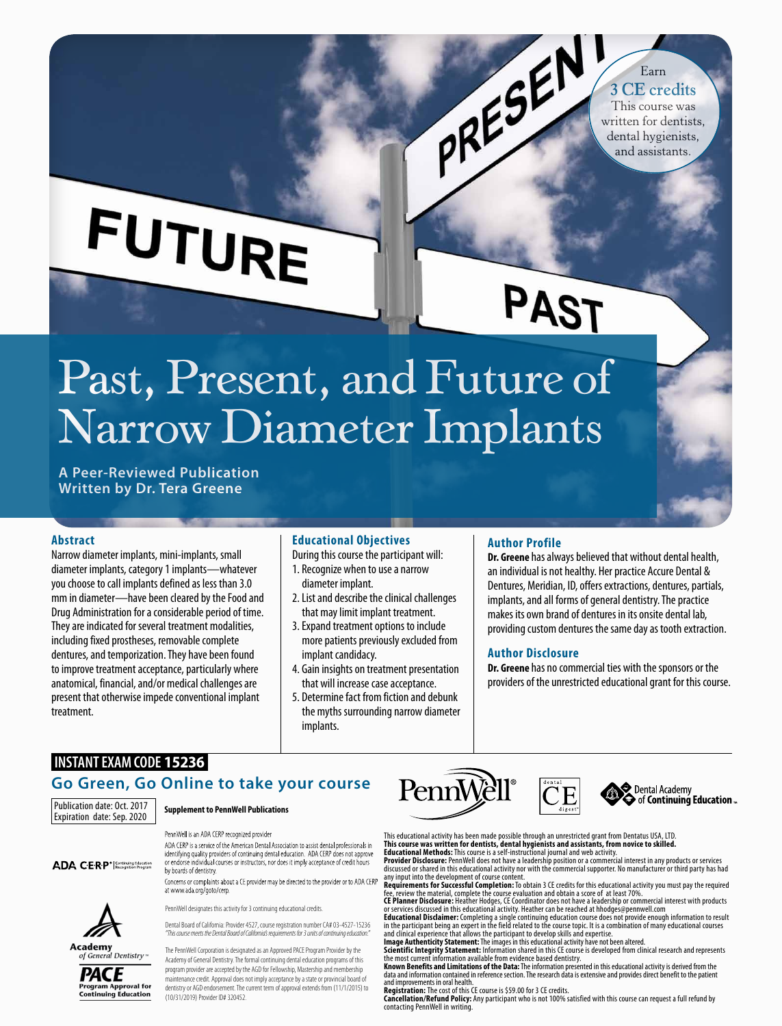# **FUTURE**

## PAST

PRESERVICE Credits<br>This course was<br>written for dentists,<br>dental hydrocometers.

Earn **3 CE credits** This course was

dental hygienists, and assistants.

## Past, Present, and Future of Narrow Diameter Implants

**A Peer-Reviewed Publication Written by Dr. Tera Greene**

#### **Abstract**

Narrow diameter implants, mini-implants, small diameter implants, category 1 implants—whatever you choose to call implants defined as less than 3.0 mm in diameter—have been cleared by the Food and Drug Administration for a considerable period of time. They are indicated for several treatment modalities, including fixed prostheses, removable complete dentures, and temporization. They have been found to improve treatment acceptance, particularly where anatomical, financial, and/or medical challenges are present that otherwise impede conventional implant treatment.

#### **Educational Objectives**

- During this course the participant will:
- 1. Recognize when to use a narrow diameter implant.
- 2.List and describe the clinical challenges that may limit implant treatment.
- 3.Expand treatment options to include more patients previously excluded from implant candidacy.
- 4. Gain insights on treatment presentation that will increase case acceptance.
- 5. Determine fact from fiction and debunk the myths surrounding narrow diameter implants.

#### **Author Profile**

**Dr. Greene** has always believed that without dental health, an individual is not healthy. Her practice Accure Dental & Dentures, Meridian, ID, offers extractions, dentures, partials, implants, and all forms of general dentistry. The practice makes its own brand of dentures in its onsite dental lab, providing custom dentures the same day as tooth extraction.

#### **Author Disclosure**

**Dr. Greene** has no commercial ties with the sponsors or the providers of the unrestricted educational grant for this course.

### **INSTANT EXAM CODE 15236**

#### **Go Green, Go Online to take your course**

Publication date: Oct. 2017 Expiration date: Sep. 2020

ADA C·E·R·P<sup>®</sup> Recognition Program

**Supplement to PennWell Publications**

#### PennWell is an ADA CERP recognized provider

ADA CERP is a service of the American Dental Association to assist dental professionals in identifying quality providers of continuing dental education. ADA CERP does not approve<br>or endorse individual courses or instructors, nor does it imply acceptance of credit hours by boards of dentistry

Concerns or complaints about a CE provider may be directed to the provider or to ADA CERP at www.ada.org/goto/cerp.

PennWell designates this activity for 3 continuing educational credit



Dental Board of California: Provider 4527, course registration number CA# 03-4527-15236 *"This course meets the Dental Board of California's requirements for 3 units of continuing education."* Academy of General Dentistry



The PennWell Corporation is designated as an Approved PACE Program Provider by the Academy of General Dentistry. The formal continuing dental education programs of this program provider are accepted by the AGD for Fellowship, Mastership and membership maintenance credit. Approval does not imply acceptance by a state or provincial board of dentistry or AGD endorsement. The current term of approval extends from (11/1/2015) to (10/31/2019) Provider ID# 320452.





Dental Academy<br>
of Continuing Education ...

This educational activity has been made possible through an unrestricted grant from Dentatus USA, LTD. **This course was written for dentists, dental hygienists and assistants, from novice to skilled. Educational Methods:** This course is a self-instructional journal and web activity. **Provider Disclosure:** PennWell does not have a leadership position or a commercial interest in any products or services

discussed or shared in this educational activity nor with the commercial supporter. No manufacturer or third party has had

any input into the development of course content.<br>**Requirements for Successful Completion:** To obtain 3 CE credits for this educational activity you must pay the required<br>fee, review the material, complete the course evalu

**CE Planner Disclosure:** Heather Hodges, CE Coordinator does not have a leadership or commercial interest with products or services discussed in this educational activity. Heather can be reached at hhodges@pennwell.com **Educational Disclaimer:** Completing a single continuing education course does not provide enough information to result<br>in the participant being an expert in the field related to the course topic. It is a combination of ma

data and information contained in reference section. The research data is extensive and provides direct benefit to the patient and improvements in oral health.

**Registration:** The cost of this CE course is \$59.00 for 3 CE credits. **Cancellation/Refund Policy:** Any participant who is not 100% satisfied with this course can request a full refund by contacting PennWell in writing.

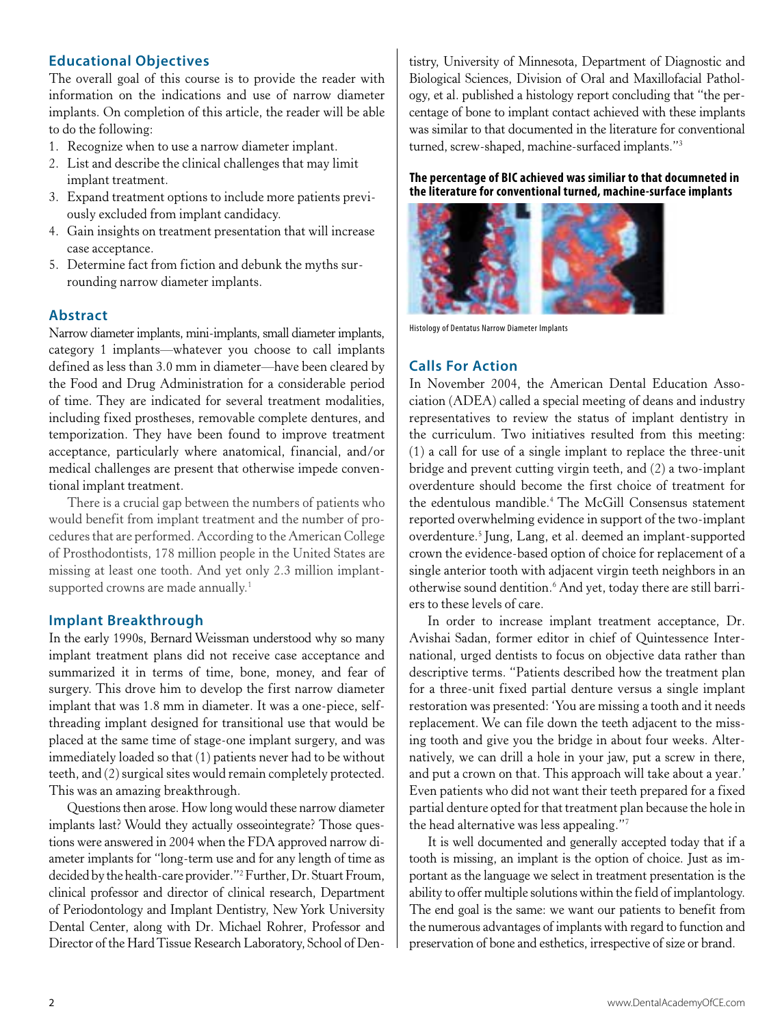#### **Educational Objectives**

The overall goal of this course is to provide the reader with information on the indications and use of narrow diameter implants. On completion of this article, the reader will be able to do the following:

- 1. Recognize when to use a narrow diameter implant.
- 2. List and describe the clinical challenges that may limit implant treatment.
- 3. Expand treatment options to include more patients previously excluded from implant candidacy.
- 4. Gain insights on treatment presentation that will increase case acceptance.
- 5. Determine fact from fiction and debunk the myths surrounding narrow diameter implants.

#### **Abstract**

Narrow diameter implants, mini-implants, small diameter implants, category 1 implants—whatever you choose to call implants defined as less than 3.0 mm in diameter—have been cleared by the Food and Drug Administration for a considerable period of time. They are indicated for several treatment modalities, including fixed prostheses, removable complete dentures, and temporization. They have been found to improve treatment acceptance, particularly where anatomical, financial, and/or medical challenges are present that otherwise impede conventional implant treatment.

There is a crucial gap between the numbers of patients who would benefit from implant treatment and the number of procedures that are performed. According to the American College of Prosthodontists, 178 million people in the United States are missing at least one tooth. And yet only 2.3 million implantsupported crowns are made annually.<sup>1</sup>

#### **Implant Breakthrough**

In the early 1990s, Bernard Weissman understood why so many implant treatment plans did not receive case acceptance and summarized it in terms of time, bone, money, and fear of surgery. This drove him to develop the first narrow diameter implant that was 1.8 mm in diameter. It was a one-piece, selfthreading implant designed for transitional use that would be placed at the same time of stage-one implant surgery, and was immediately loaded so that (1) patients never had to be without teeth, and (2) surgical sites would remain completely protected. This was an amazing breakthrough.

Questions then arose. How long would these narrow diameter implants last? Would they actually osseointegrate? Those questions were answered in 2004 when the FDA approved narrow diameter implants for "long-term use and for any length of time as decided by the health-care provider."2 Further, Dr. Stuart Froum, clinical professor and director of clinical research, Department of Periodontology and Implant Dentistry, New York University Dental Center, along with Dr. Michael Rohrer, Professor and Director of the Hard Tissue Research Laboratory, School of Dentistry, University of Minnesota, Department of Diagnostic and Biological Sciences, Division of Oral and Maxillofacial Pathology, et al. published a histology report concluding that "the percentage of bone to implant contact achieved with these implants was similar to that documented in the literature for conventional turned, screw-shaped, machine-surfaced implants."3

#### **The percentage of BIC achieved was similiar to that documneted in the literature for conventional turned, machine-surface implants**



Histology of Dentatus Narrow Diameter Implants

#### **Calls For Action**

In November 2004, the American Dental Education Association (ADEA) called a special meeting of deans and industry representatives to review the status of implant dentistry in the curriculum. Two initiatives resulted from this meeting: (1) a call for use of a single implant to replace the three-unit bridge and prevent cutting virgin teeth, and (2) a two-implant overdenture should become the first choice of treatment for the edentulous mandible.4 The McGill Consensus statement reported overwhelming evidence in support of the two-implant overdenture.5 Jung, Lang, et al. deemed an implant-supported crown the evidence-based option of choice for replacement of a single anterior tooth with adjacent virgin teeth neighbors in an otherwise sound dentition.*<sup>6</sup>* And yet, today there are still barriers to these levels of care.

In order to increase implant treatment acceptance, Dr. Avishai Sadan, former editor in chief of Quintessence International, urged dentists to focus on objective data rather than descriptive terms. "Patients described how the treatment plan for a three-unit fixed partial denture versus a single implant restoration was presented: 'You are missing a tooth and it needs replacement. We can file down the teeth adjacent to the missing tooth and give you the bridge in about four weeks. Alternatively, we can drill a hole in your jaw, put a screw in there, and put a crown on that. This approach will take about a year.' Even patients who did not want their teeth prepared for a fixed partial denture opted for that treatment plan because the hole in the head alternative was less appealing."7

It is well documented and generally accepted today that if a tooth is missing, an implant is the option of choice. Just as important as the language we select in treatment presentation is the ability to offer multiple solutions within the field of implantology. The end goal is the same: we want our patients to benefit from the numerous advantages of implants with regard to function and preservation of bone and esthetics, irrespective of size or brand.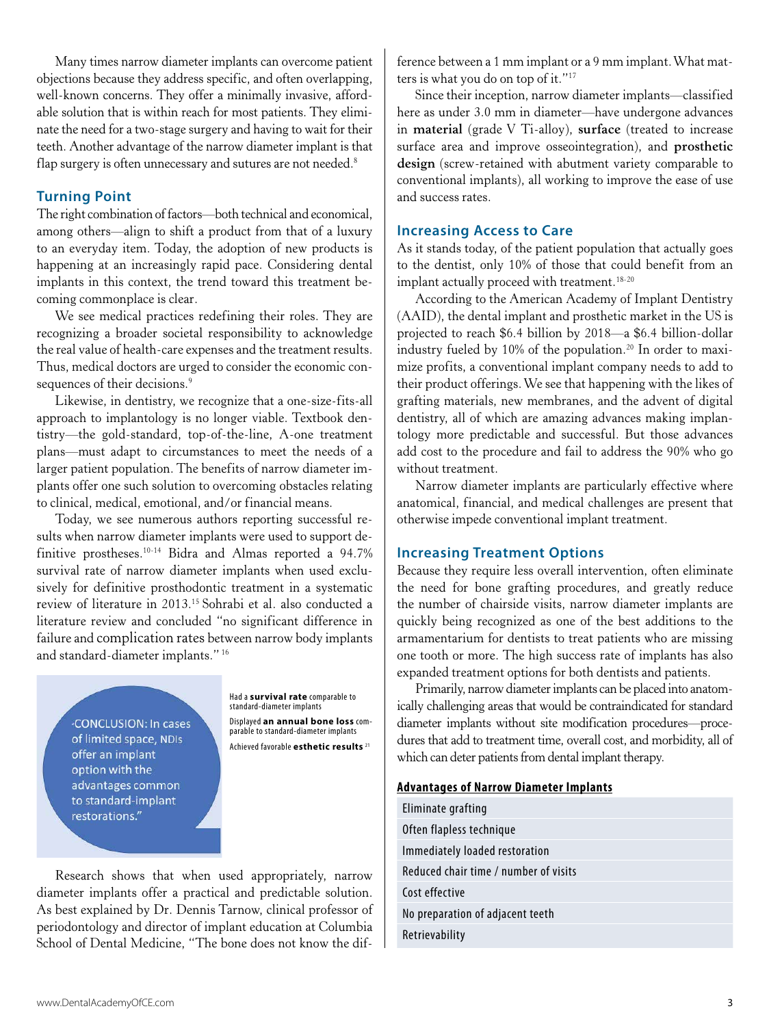Many times narrow diameter implants can overcome patient objections because they address specific, and often overlapping, well-known concerns. They offer a minimally invasive, affordable solution that is within reach for most patients. They eliminate the need for a two-stage surgery and having to wait for their teeth. Another advantage of the narrow diameter implant is that flap surgery is often unnecessary and sutures are not needed.<sup>8</sup>

#### **Turning Point**

The right combination of factors—both technical and economical, among others—align to shift a product from that of a luxury to an everyday item. Today, the adoption of new products is happening at an increasingly rapid pace. Considering dental implants in this context, the trend toward this treatment becoming commonplace is clear.

We see medical practices redefining their roles. They are recognizing a broader societal responsibility to acknowledge the real value of health-care expenses and the treatment results. Thus, medical doctors are urged to consider the economic consequences of their decisions.<sup>9</sup>

Likewise, in dentistry, we recognize that a one-size-fits-all approach to implantology is no longer viable. Textbook dentistry—the gold-standard, top-of-the-line, A-one treatment plans—must adapt to circumstances to meet the needs of a larger patient population. The benefits of narrow diameter implants offer one such solution to overcoming obstacles relating to clinical, medical, emotional, and/or financial means.

Today, we see numerous authors reporting successful results when narrow diameter implants were used to support definitive prostheses.10-14 Bidra and Almas reported a 94.7% survival rate of narrow diameter implants when used exclusively for definitive prosthodontic treatment in a systematic review of literature in 2013.15 Sohrabi et al. also conducted a literature review and concluded "no significant difference in failure and complication rates between narrow body implants and standard-diameter implants." 16

CONCLUSION: In cases of limited space, NDIs offer an implant option with the advantages common to standard-implant restorations."

Had a **survival rate** comparable to standard-diameter implants Displayed **an annual bone loss** com- parable to standard-diameter implants Achieved favorable **esthetic results** <sup>21</sup>

Research shows that when used appropriately, narrow diameter implants offer a practical and predictable solution. As best explained by Dr. Dennis Tarnow, clinical professor of periodontology and director of implant education at Columbia School of Dental Medicine, "The bone does not know the difference between a 1 mm implant or a 9 mm implant. What matters is what you do on top of it."17

Since their inception, narrow diameter implants—classified here as under 3.0 mm in diameter—have undergone advances in **material** (grade V Ti-alloy), **surface** (treated to increase surface area and improve osseointegration), and **prosthetic design** (screw-retained with abutment variety comparable to conventional implants), all working to improve the ease of use and success rates.

#### **Increasing Access to Care**

As it stands today, of the patient population that actually goes to the dentist, only 10% of those that could benefit from an implant actually proceed with treatment.<sup>18-20</sup>

According to the American Academy of Implant Dentistry (AAID), the dental implant and prosthetic market in the US is projected to reach \$6.4 billion by 2018—a \$6.4 billion-dollar industry fueled by 10% of the population.<sup>20</sup> In order to maximize profits, a conventional implant company needs to add to their product offerings. We see that happening with the likes of grafting materials, new membranes, and the advent of digital dentistry, all of which are amazing advances making implantology more predictable and successful. But those advances add cost to the procedure and fail to address the 90% who go without treatment.

Narrow diameter implants are particularly effective where anatomical, financial, and medical challenges are present that otherwise impede conventional implant treatment.

#### **Increasing Treatment Options**

Because they require less overall intervention, often eliminate the need for bone grafting procedures, and greatly reduce the number of chairside visits, narrow diameter implants are quickly being recognized as one of the best additions to the armamentarium for dentists to treat patients who are missing one tooth or more. The high success rate of implants has also expanded treatment options for both dentists and patients.

Primarily, narrow diameter implants can be placed into anatomically challenging areas that would be contraindicated for standard diameter implants without site modification procedures—procedures that add to treatment time, overall cost, and morbidity, all of which can deter patients from dental implant therapy.

#### **Advantages of Narrow Diameter Implants**

| Eliminate grafting                    |
|---------------------------------------|
| Often flapless technique              |
| Immediately loaded restoration        |
| Reduced chair time / number of visits |
| Cost effective                        |
| No preparation of adjacent teeth      |
| Retrievability                        |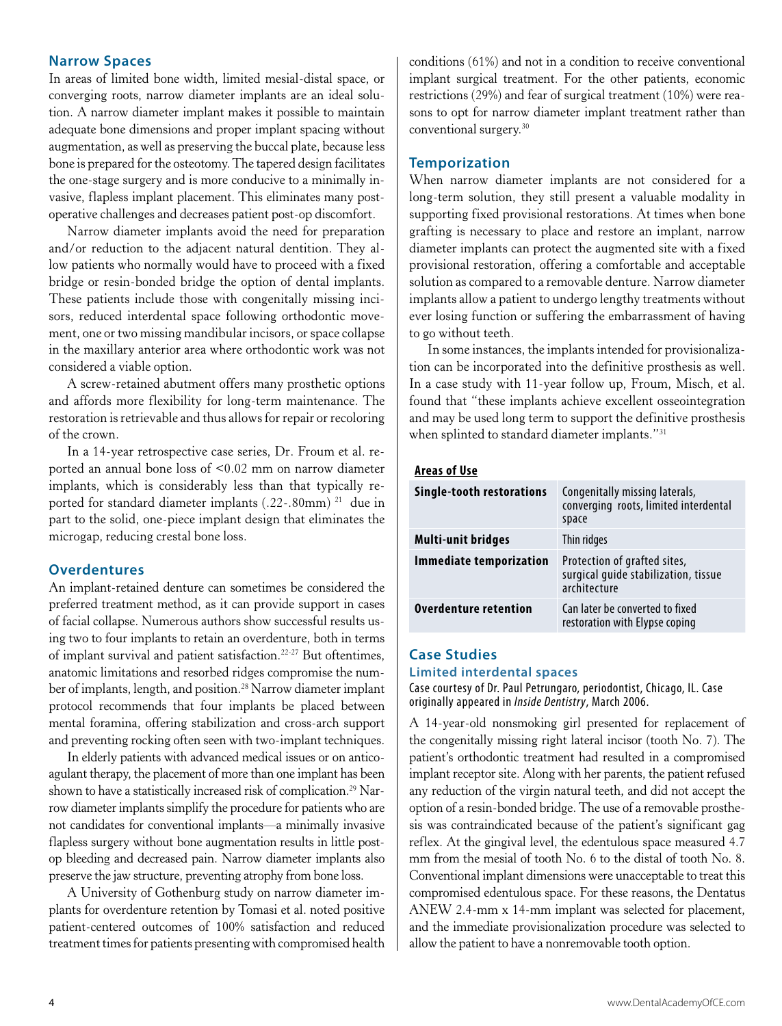#### **Narrow Spaces**

In areas of limited bone width, limited mesial-distal space, or converging roots, narrow diameter implants are an ideal solution. A narrow diameter implant makes it possible to maintain adequate bone dimensions and proper implant spacing without augmentation, as well as preserving the buccal plate, because less bone is prepared for the osteotomy. The tapered design facilitates the one-stage surgery and is more conducive to a minimally invasive, flapless implant placement. This eliminates many postoperative challenges and decreases patient post-op discomfort.

Narrow diameter implants avoid the need for preparation and/or reduction to the adjacent natural dentition. They allow patients who normally would have to proceed with a fixed bridge or resin-bonded bridge the option of dental implants. These patients include those with congenitally missing incisors, reduced interdental space following orthodontic movement, one or two missing mandibular incisors, or space collapse in the maxillary anterior area where orthodontic work was not considered a viable option.

A screw-retained abutment offers many prosthetic options and affords more flexibility for long-term maintenance. The restoration is retrievable and thus allows for repair or recoloring of the crown.

In a 14-year retrospective case series, Dr. Froum et al. reported an annual bone loss of <0.02 mm on narrow diameter implants, which is considerably less than that typically reported for standard diameter implants (.22-.80mm) 21 due in part to the solid, one-piece implant design that eliminates the microgap, reducing crestal bone loss.

#### **Overdentures**

An implant-retained denture can sometimes be considered the preferred treatment method, as it can provide support in cases of facial collapse. Numerous authors show successful results using two to four implants to retain an overdenture, both in terms of implant survival and patient satisfaction.22-27 But oftentimes, anatomic limitations and resorbed ridges compromise the number of implants, length, and position.28 Narrow diameter implant protocol recommends that four implants be placed between mental foramina, offering stabilization and cross-arch support and preventing rocking often seen with two-implant techniques.

In elderly patients with advanced medical issues or on anticoagulant therapy, the placement of more than one implant has been shown to have a statistically increased risk of complication.<sup>29</sup> Narrow diameter implants simplify the procedure for patients who are not candidates for conventional implants—a minimally invasive flapless surgery without bone augmentation results in little postop bleeding and decreased pain. Narrow diameter implants also preserve the jaw structure, preventing atrophy from bone loss.

A University of Gothenburg study on narrow diameter implants for overdenture retention by Tomasi et al. noted positive patient-centered outcomes of 100% satisfaction and reduced treatment times for patients presenting with compromised health

conditions (61%) and not in a condition to receive conventional implant surgical treatment. For the other patients, economic restrictions (29%) and fear of surgical treatment (10%) were reasons to opt for narrow diameter implant treatment rather than conventional surgery.30

#### **Temporization**

When narrow diameter implants are not considered for a long-term solution, they still present a valuable modality in supporting fixed provisional restorations. At times when bone grafting is necessary to place and restore an implant, narrow diameter implants can protect the augmented site with a fixed provisional restoration, offering a comfortable and acceptable solution as compared to a removable denture. Narrow diameter implants allow a patient to undergo lengthy treatments without ever losing function or suffering the embarrassment of having to go without teeth.

In some instances, the implants intended for provisionalization can be incorporated into the definitive prosthesis as well. In a case study with 11-year follow up, Froum, Misch, et al. found that "these implants achieve excellent osseointegration and may be used long term to support the definitive prosthesis when splinted to standard diameter implants."<sup>31</sup>

#### **Areas of Use**

| Single-tooth restorations      | Congenitally missing laterals,<br>converging roots, limited interdental<br>space     |
|--------------------------------|--------------------------------------------------------------------------------------|
| <b>Multi-unit bridges</b>      | Thin ridges                                                                          |
| <b>Immediate temporization</b> | Protection of grafted sites,<br>surgical quide stabilization, tissue<br>architecture |
| <b>Overdenture retention</b>   | Can later be converted to fixed<br>restoration with Elypse coping                    |

#### **Case Studies Limited interdental spaces**

Case courtesy of Dr. Paul Petrungaro, periodontist, Chicago, IL. Case originally appeared in *Inside Dentistry*, March 2006.

A 14-year-old nonsmoking girl presented for replacement of the congenitally missing right lateral incisor (tooth No. 7). The patient's orthodontic treatment had resulted in a compromised implant receptor site. Along with her parents, the patient refused any reduction of the virgin natural teeth, and did not accept the option of a resin-bonded bridge. The use of a removable prosthesis was contraindicated because of the patient's significant gag reflex. At the gingival level, the edentulous space measured 4.7 mm from the mesial of tooth No. 6 to the distal of tooth No. 8. Conventional implant dimensions were unacceptable to treat this compromised edentulous space. For these reasons, the Dentatus ANEW 2.4-mm x 14-mm implant was selected for placement, and the immediate provisionalization procedure was selected to allow the patient to have a nonremovable tooth option.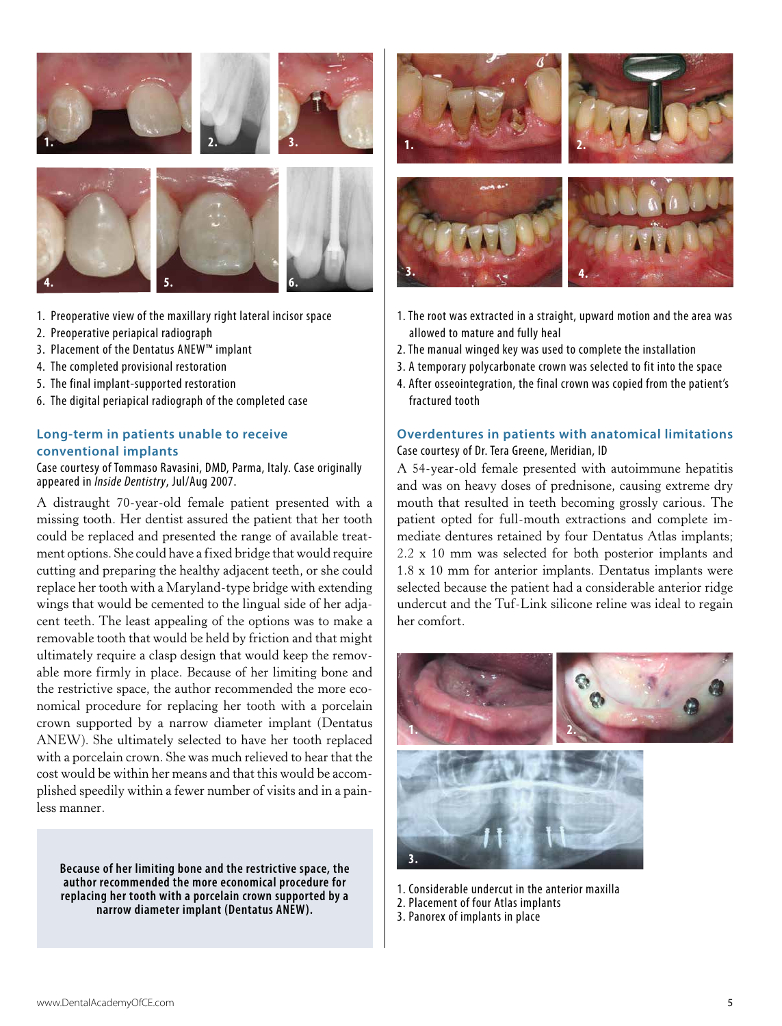

1. Preoperative view of the maxillary right lateral incisor space

**6.**

**5.**

2. Preoperative periapical radiograph

**4.**

- 3. Placement of the Dentatus ANEW™ implant
- 4. The completed provisional restoration
- 5. The final implant-supported restoration
- 6. The digital periapical radiograph of the completed case

#### **Long-term in patients unable to receive conventional implants**

Case courtesy of Tommaso Ravasini, DMD, Parma, Italy. Case originally appeared in *Inside Dentistry*, Jul/Aug 2007.

A distraught 70-year-old female patient presented with a missing tooth. Her dentist assured the patient that her tooth could be replaced and presented the range of available treatment options. She could have a fixed bridge that would require cutting and preparing the healthy adjacent teeth, or she could replace her tooth with a Maryland-type bridge with extending wings that would be cemented to the lingual side of her adjacent teeth. The least appealing of the options was to make a removable tooth that would be held by friction and that might ultimately require a clasp design that would keep the removable more firmly in place. Because of her limiting bone and the restrictive space, the author recommended the more economical procedure for replacing her tooth with a porcelain crown supported by a narrow diameter implant (Dentatus ANEW). She ultimately selected to have her tooth replaced with a porcelain crown. She was much relieved to hear that the cost would be within her means and that this would be accomplished speedily within a fewer number of visits and in a painless manner.

**Because of her limiting bone and the restrictive space, the author recommended the more economical procedure for replacing her tooth with a porcelain crown supported by a narrow diameter implant (Dentatus ANEW).**



- 1. The root was extracted in a straight, upward motion and the area was allowed to mature and fully heal
- 2. The manual winged key was used to complete the installation
- 3. A temporary polycarbonate crown was selected to fit into the space
- 4. After osseointegration, the final crown was copied from the patient's fractured tooth

#### **Overdentures in patients with anatomical limitations** Case courtesy of Dr. Tera Greene, Meridian, ID

A 54-year-old female presented with autoimmune hepatitis and was on heavy doses of prednisone, causing extreme dry mouth that resulted in teeth becoming grossly carious. The patient opted for full-mouth extractions and complete immediate dentures retained by four Dentatus Atlas implants; 2.2 x 10 mm was selected for both posterior implants and 1.8 x 10 mm for anterior implants. Dentatus implants were selected because the patient had a considerable anterior ridge undercut and the Tuf-Link silicone reline was ideal to regain her comfort.



- 1. Considerable undercut in the anterior maxilla
- 2. Placement of four Atlas implants
- 3. Panorex of implants in place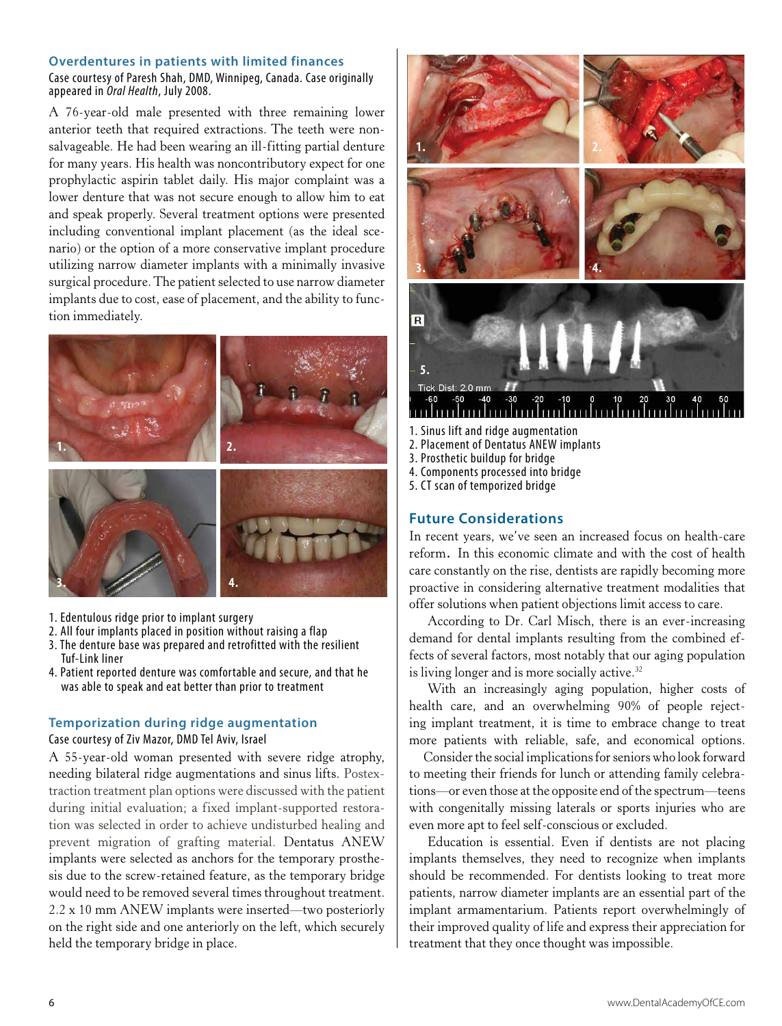#### **Overdentures in patients with limited finances**

Case courtesy of Paresh Shah, DMD, Winnipeg, Canada. Case originally appeared in *Oral Health*, July 2008.

A 76-year-old male presented with three remaining lower anterior teeth that required extractions. The teeth were nonsalvageable. He had been wearing an ill-fitting partial denture for many years. His health was noncontributory expect for one prophylactic aspirin tablet daily. His major complaint was a lower denture that was not secure enough to allow him to eat and speak properly. Several treatment options were presented including conventional implant placement (as the ideal scenario) or the option of a more conservative implant procedure utilizing narrow diameter implants with a minimally invasive surgical procedure. The patient selected to use narrow diameter implants due to cost, ease of placement, and the ability to function immediately.



- 1. Edentulous ridge prior to implant surgery
- 2. All four implants placed in position without raising a flap
- 3. The denture base was prepared and retrofitted with the resilient Tuf-Link liner
- 4. Patient reported denture was comfortable and secure, and that he was able to speak and eat better than prior to treatment

#### **Temporization during ridge augmentation** Case courtesy of Ziv Mazor, DMD Tel Aviv, Israel

A 55-year-old woman presented with severe ridge atrophy, needing bilateral ridge augmentations and sinus lifts. Postextraction treatment plan options were discussed with the patient during initial evaluation; a fixed implant-supported restoration was selected in order to achieve undisturbed healing and prevent migration of grafting material. Dentatus ANEW implants were selected as anchors for the temporary prosthesis due to the screw-retained feature, as the temporary bridge would need to be removed several times throughout treatment. 2.2 x 10 mm ANEW implants were inserted—two posteriorly on the right side and one anteriorly on the left, which securely held the temporary bridge in place.



- 1. Sinus lift and ridge augmentation
- 2. Placement of Dentatus ANEW implants
- 3. Prosthetic buildup for bridge
- 4. Components processed into bridge
- 5. CT scan of temporized bridge

#### **Future Considerations**

In recent years, we've seen an increased focus on health-care reform. In this economic climate and with the cost of health care constantly on the rise, dentists are rapidly becoming more proactive in considering alternative treatment modalities that offer solutions when patient objections limit access to care.

According to Dr. Carl Misch, there is an ever-increasing demand for dental implants resulting from the combined effects of several factors, most notably that our aging population is living longer and is more socially active.<sup>32</sup>

With an increasingly aging population, higher costs of health care, and an overwhelming 90% of people rejecting implant treatment, it is time to embrace change to treat more patients with reliable, safe, and economical options.

 Consider the social implications for seniors who look forward to meeting their friends for lunch or attending family celebrations—or even those at the opposite end of the spectrum—teens with congenitally missing laterals or sports injuries who are even more apt to feel self-conscious or excluded.

Education is essential. Even if dentists are not placing implants themselves, they need to recognize when implants should be recommended. For dentists looking to treat more patients, narrow diameter implants are an essential part of the implant armamentarium. Patients report overwhelmingly of their improved quality of life and express their appreciation for treatment that they once thought was impossible.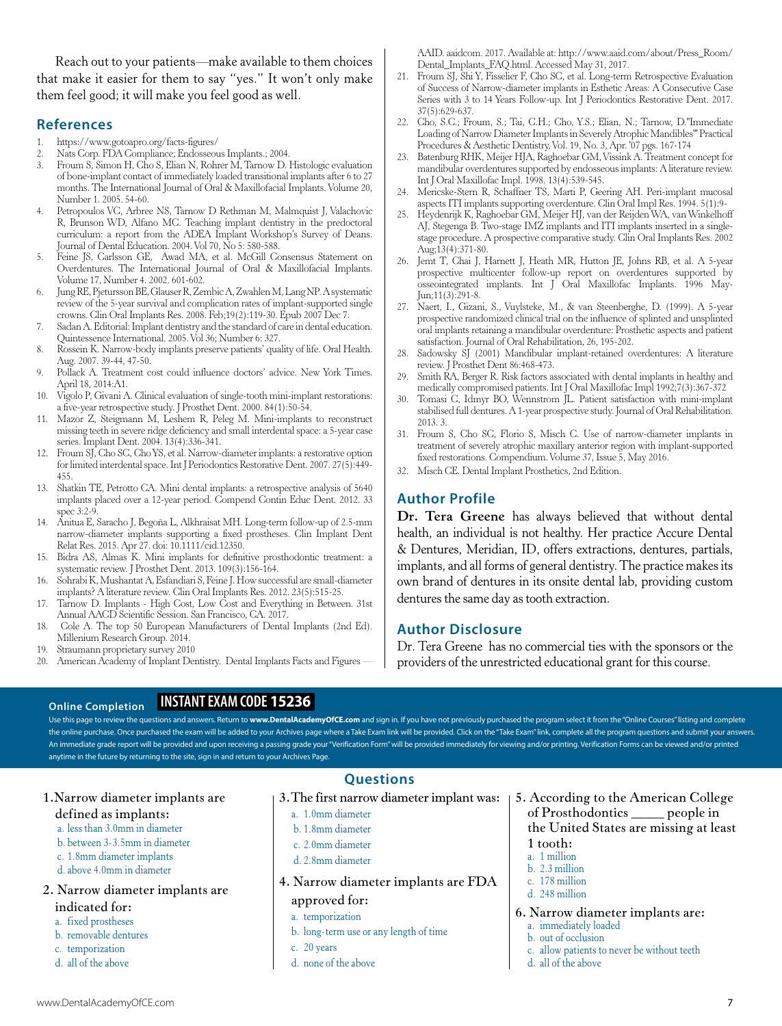Reach out to your patients—make available to them choices that make it easier for them to say "yes." It won't only make them feel good; it will make you feel good as well.

#### **References**

- 1. https://www.gotoapro.org/facts-figures/
- 2. Nats Corp. FDA Compliance; Endosseous Implants.; 2004.
- 3. Froum S, Simon H, Cho S, Elian N, Rohrer M, Tarnow D. Histologic evaluation of bone-implant contact of immediately loaded transitional implants after 6 to 27 months. The International Journal of Oral & Maxillofacial Implants. Volume 20, Number 1. 2005. 54-60.
- Petropoulos VC, Arbree NS, Tarnow D Rethman M, Malmquist J, Valachovic R, Brunson WD, Alfano MC. Teaching implant dentistry in the predoctoral curriculum: a report from the ADEA Implant Workshop's Survey of Deans. Journal of Dental Education. 2004. Vol 70, No 5: 580-588.
- 5. Feine JS, Carlsson GE, Awad MA, et al. McGill Consensus Statement on Overdentures. The International Journal of Oral & Maxillofacial Implants. Volume 17, Number 4. 2002. 601-602.
- 6. Jung RE, Pjetursson BE, Glauser R, Zembic A, Zwahlen M, Lang NP. A systematic review of the 5-year survival and complication rates of implant-supported single crowns. Clin Oral Implants Res. 2008. Feb;19(2):119-30. Epub 2007 Dec 7.
- 7. Sadan A. Editorial: Implant dentistry and the standard of care in dental education. Quintessence International. 2005. Vol 36; Number 6: 327.
- 8. Rossein K. Narrow-body implants preserve patients' quality of life. Oral Health. Aug. 2007. 39-44, 47-50.
- 9. Pollack A. Treatment cost could influence doctors' advice. New York Times. April 18, 2014:A1.
- 10. Vigolo P, Givani A. Clinical evaluation of single-tooth mini-implant restorations: a five-year retrospective study. J Prosthet Dent. 2000. 84(1):50-54.
- 11. Mazor Z, Steigmann M, Leshem R, Peleg M. Mini-implants to reconstruct missing teeth in severe ridge deficiency and small interdental space: a 5-year case series. Implant Dent. 2004. 13(4):336-341.
- 12. Froum SJ, Cho SC, Cho YS, et al. Narrow-diameter implants: a restorative option for limited interdental space. Int J Periodontics Restorative Dent. 2007. 27(5):449- 455.
- 13. Shatkin TE, Petrotto CA. Mini dental implants: a retrospective analysis of 5640 implants placed over a 12-year period. Compend Contin Educ Dent. 2012. 33 spec 3:2-9.
- 14. Anitua E, Saracho J, Begoña L, Alkhraisat MH. Long-term follow-up of 2.5-mm narrow-diameter implants supporting a fixed prostheses. Clin Implant Dent Relat Res. 2015. Apr 27. doi: 10.1111/cid.12350.
- 15. Bidra AS, Almas K. Mini implants for definitive prosthodontic treatment: a systematic review. J Prosthet Dent. 2013. 109(3):156-164.
- 16. Sohrabi K, Mushantat A, Esfandiari S, Feine J. How successful are small-diameter implants? A literature review. Clin Oral Implants Res. 2012. 23(5):515-25.
- 17. Tarnow D. Implants High Cost, Low Cost and Everything in Between. 31st Annual AACD Scientific Session. San Francisco, CA. 2017.
- 18. Cole A. The top 50 European Manufacturers of Dental Implants (2nd Ed). Millenium Research Group. 2014.
- 19. Straumann proprietary survey 2010

**Online Completion**

20. American Academy of Implant Dentistry. Dental Implants Facts and Figures —

### **INSTANT EXAM CODE 15236**

Use this page to review the questions and answers. Return to www.DentalAcademyOfCE.com and sign in. If you have not previously purchased the program select it from the "Online Courses" listing and complete the online purchase. Once purchased the exam will be added to your Archives page where a Take Exam link will be provided. Click on the "Take Exam" link, complete all the program questions and submit your answers. An immediate grade report will be provided and upon receiving a passing grade your "Verification Form" will be provided immediately for viewing and/or printing. Verification Forms can be viewed and/or printed anytime in the future by returning to the site, sign in and return to your Archives Page.

#### 1.Narrow diameter implants are defined as implants:

- a. less than 3.0mm in diameter
- b. between 3-3.5mm in diameter
- c. 1.8mm diameter implants
- d. above 4.0mm in diameter

#### 2. Narrow diameter implants are indicated for:

- a. fixed prostheses
- b. removable dentures
- c. temporization
- d. all of the above

AAID. aaidcom. 2017. Available at: http://www.aaid.com/about/Press\_Room/ Dental\_Implants\_FAQ.html. Accessed May 31, 2017.

- 21. Froum SJ, Shi Y, Fisselier F, Cho SC, et al. Long-term Retrospective Evaluation of Success of Narrow-diameter implants in Esthetic Areas: A Consecutive Case Series with 3 to 14 Years Follow-up. Int J Periodontics Restorative Dent. 2017. 37(5):629-637.
- 22. Cho, S.C.; Froum, S.; Tai, C.H.; Cho, Y.S.; Elian, N.; Tarnow, D."Immediate Loading of Narrow Diameter Implants in Severely Atrophic Mandibles"' Practical Procedures & Aesthetic Dentistry, Vol. 19, No. 3, Apr. '07 pgs. 167-174
- 23. Batenburg RHK, Meijer HJA, Raghoebar GM, Vissink A. Treatment concept for mandibular overdentures supported by endosseous implants: A literature review. Int J Oral Maxillofac Impl. 1998. 13(4):539-545.
- 24. Mericske-Stern R, Schaffner TS, Marti P, Geering AH. Peri-implant mucosal aspects ITI implants supporting overdenture. Clin Oral Impl Res. 1994. 5(1):9-
- 25. Heydenrijk K, Raghoebar GM, Meijer HJ, van der Reijden WA, van Winkelhoff AJ, Stegenga B. Two-stage IMZ implants and ITI implants inserted in a singlestage procedure. A prospective comparative study. Clin Oral Implants Res. 2002 Aug;13(4):371-80.
- 26. Jemt T, Chai J, Harnett J, Heath MR, Hutton JE, Johns RB, et al. A 5-year prospective multicenter follow-up report on overdentures supported by osseointegrated implants. Int J Oral Maxillofac Implants. 1996 May-Jun;11(3):291-8.
- 27. Naert, I., Gizani, S., Vuylsteke, M., & van Steenberghe, D. (1999). A 5-year prospective randomized clinical trial on the influence of splinted and unsplinted oral implants retaining a mandibular overdenture: Prosthetic aspects and patient satisfaction. Journal of Oral Rehabilitation, 26, 195-202.
- 28. Sadowsky SJ (2001) Mandibular implant-retained overdentures: A literature review. J Prosthet Dent 86:468-473.
- Smith RA, Berger R. Risk factors associated with dental implants in healthy and medically compromised patients. Int J Oral Maxillofac Impl 1992;7(3):367-372
- 30. Tomasi C, Idmyr BO, Wennstrom JL. Patient satisfaction with mini-implant stabilised full dentures. A 1-year prospective study. Journal of Oral Rehabilitation. 2013. 3.
- 31. Froum S, Cho SC, Florio S, Misch C. Use of narrow-diameter implants in treatment of severely atrophic maxillary anterior region with implant-supported fixed restorations. Compendium. Volume 37, Issue 5, May 2016.
- 32. Misch CE. Dental Implant Prosthetics, 2nd Edition.

#### **Author Profile**

**Dr. Tera Greene** has always believed that without dental health, an individual is not healthy. Her practice Accure Dental & Dentures, Meridian, ID, offers extractions, dentures, partials, implants, and all forms of general dentistry. The practice makes its own brand of dentures in its onsite dental lab, providing custom dentures the same day as tooth extraction.

#### **Author Disclosure**

Dr. Tera Greene has no commercial ties with the sponsors or the providers of the unrestricted educational grant for this course.

#### www.DentalAcademyOfCE.com **7**

#### **Questions**

- - a. 1.0mm diameter
- b. 1.8mm diameter
- c. 2.0mm diameter
- d. 2.8mm diameter
- 4. Narrow diameter implants are FDA approved for:

#### a. temporization

- b. long-term use or any length of time
- c. 20 years
- d. none of the above
- 3.The first narrow diameter implant was: 5. According to the American College of Prosthodontics \_\_\_\_\_ people in the United States are missing at least 1 tooth:
	- a. 1 million
	- b. 2.3 million
	- c. 178 million
	- d. 248 million

#### 6. Narrow diameter implants are:

- a. immediately loaded
- b. out of occlusion
- c. allow patients to never be without teeth d. all of the above
-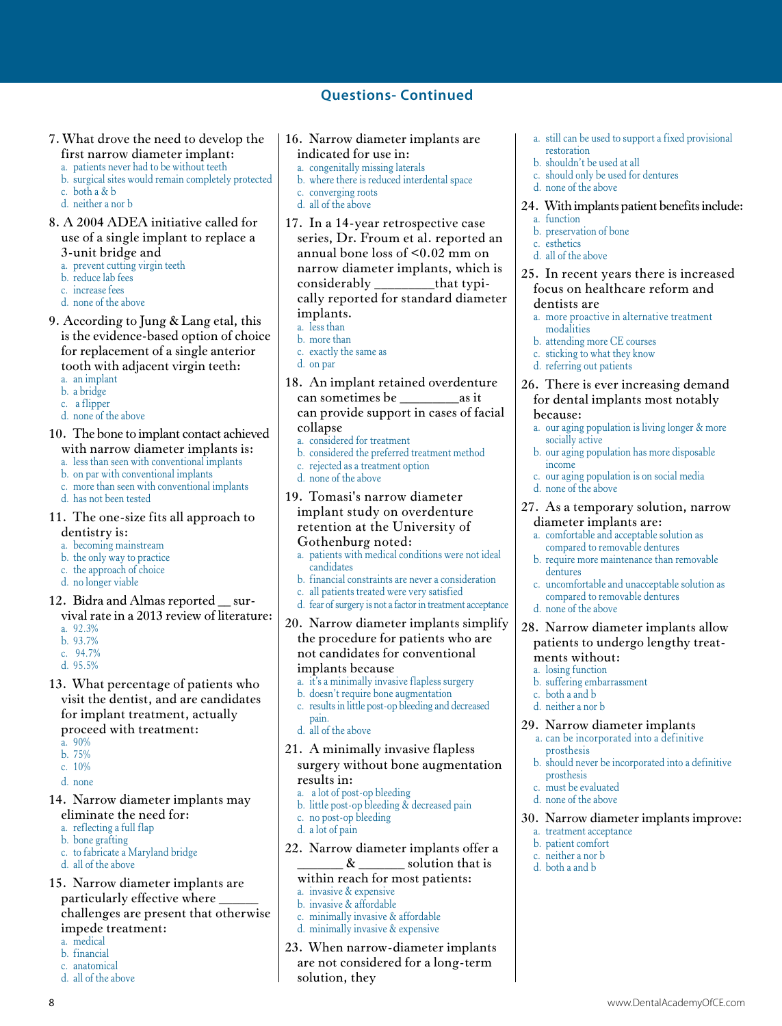#### **Questions- Continued**

- 7. What drove the need to develop the first narrow diameter implant:
	- a. patients never had to be without teeth
	- b. surgical sites would remain completely protected c. both a & b
	- d. neither a nor b
- 8. A 2004 ADEA initiative called for use of a single implant to replace a 3-unit bridge and
	- a. prevent cutting virgin teeth
	- b. reduce lab fees
	- c. increase fees
	- d. none of the above
- 9. According to Jung & Lang etal, this is the evidence-based option of choice
- for replacement of a single anterior tooth with adjacent virgin teeth:
- a. an implant
- b. a bridge
- c. a flipper
- d. none of the above
- 10. The bone to implant contact achieved with narrow diameter implants is:
	- a. less than seen with conventional implants
	- b. on par with conventional implants c. more than seen with conventional implants
	-
	- d. has not been tested
- 11. The one-size fits all approach to dentistry is:
	- a. becoming mainstream
	- b. the only way to practice
	- c. the approach of choice
	- d. no longer viable
- 12. Bidra and Almas reported \_\_ sur-
- vival rate in a 2013 review of literature: a. 92.3%
- b. 93.7%
- c. 94.7%
- d. 95.5%
- 13. What percentage of patients who visit the dentist, and are candidates for implant treatment, actually proceed with treatment:
	- a. 90%
	- b. 75%
	- c. 10%
	- d. none
- 14. Narrow diameter implants may eliminate the need for:
	- a. reflecting a full flap
	- b. bone grafting
	- c. to fabricate a Maryland bridge
	- d. all of the above
- 15. Narrow diameter implants are particularly effective where challenges are present that otherwise impede treatment:
	- a. medical
	- b. financial
- c. anatomical
- d. all of the above
- 16. Narrow diameter implants are indicated for use in: a. congenitally missing laterals b. where there is reduced interdental space c. converging roots d. all of the above 17. In a 14-year retrospective case series, Dr. Froum et al. reported an annual bone loss of <0.02 mm on narrow diameter implants, which is considerably \_\_\_\_\_\_\_\_\_that typi
	- cally reported for standard diameter implants. a. less than
	- b. more than
	- c. exactly the same as
	- d. on par
	-
- 18. An implant retained overdenture can sometimes be  $\qquad \qquad$  as it can provide support in cases of facial collapse
- a. considered for treatment
- b. considered the preferred treatment method
- c. rejected as a treatment option
- d. none of the above
- 19. Tomasi's narrow diameter implant study on overdenture retention at the University of Gothenburg noted:
	- a. patients with medical conditions were not ideal candidates
	- b. financial constraints are never a consideration
	- c. all patients treated were very satisfied
	- d. fear of surgery is not a factor in treatment acceptance

20. Narrow diameter implants simplify the procedure for patients who are not candidates for conventional implants because

- a. it's a minimally invasive flapless surgery
- b. doesn't require bone augmentation
- c. results in little post-op bleeding and decreased pain.
- d. all of the above
- 21. A minimally invasive flapless surgery without bone augmentation results in:
	- a. a lot of post-op bleeding
	- b. little post-op bleeding & decreased pain
	- c. no post-op bleeding
	- d. a lot of pain
- 22. Narrow diameter implants offer a  $\& \_\_\_\_\$  solution that is
	- within reach for most patients: a. invasive & expensive
	- b. invasive & affordable
	- c. minimally invasive & affordable
	- d. minimally invasive & expensive
- 23. When narrow-diameter implants are not considered for a long-term solution, they

8 www.DentalAcademyOfCE.com

- a. still can be used to support a fixed provisional restoration
- b. shouldn't be used at all
- c. should only be used for dentures
- d. none of the above

#### 24. With implants patient benefits include:

- a. function
- b. preservation of bone
- c. esthetics
- d. all of the above

#### 25. In recent years there is increased focus on healthcare reform and

#### dentists are

- a. more proactive in alternative treatment modalities
- b. attending more CE courses
- c. sticking to what they know
- d. referring out patients

#### 26. There is ever increasing demand for dental implants most notably because:

- a. our aging population is living longer & more socially active
- b. our aging population has more disposable income
- c. our aging population is on social media
- d. none of the above

dentures

d. none of the above

ments without: a. losing function b. suffering embarrassment

c. both a and b d. neither a nor b

prosthesis

prosthesis c. must be evaluated d. none of the above

a. treatment acceptance b. patient comfort c. neither a nor b d. both a and b

#### 27. As a temporary solution, narrow diameter implants are:

c. uncomfortable and unacceptable solution as compared to removable dentures

28. Narrow diameter implants allow patients to undergo lengthy treat-

29. Narrow diameter implantsa. can be incorporated into a definitive

b. should never be incorporated into a definitive

30. Narrow diameter implants improve:

a. comfortable and acceptable solution as compared to removable dentures b. require more maintenance than removable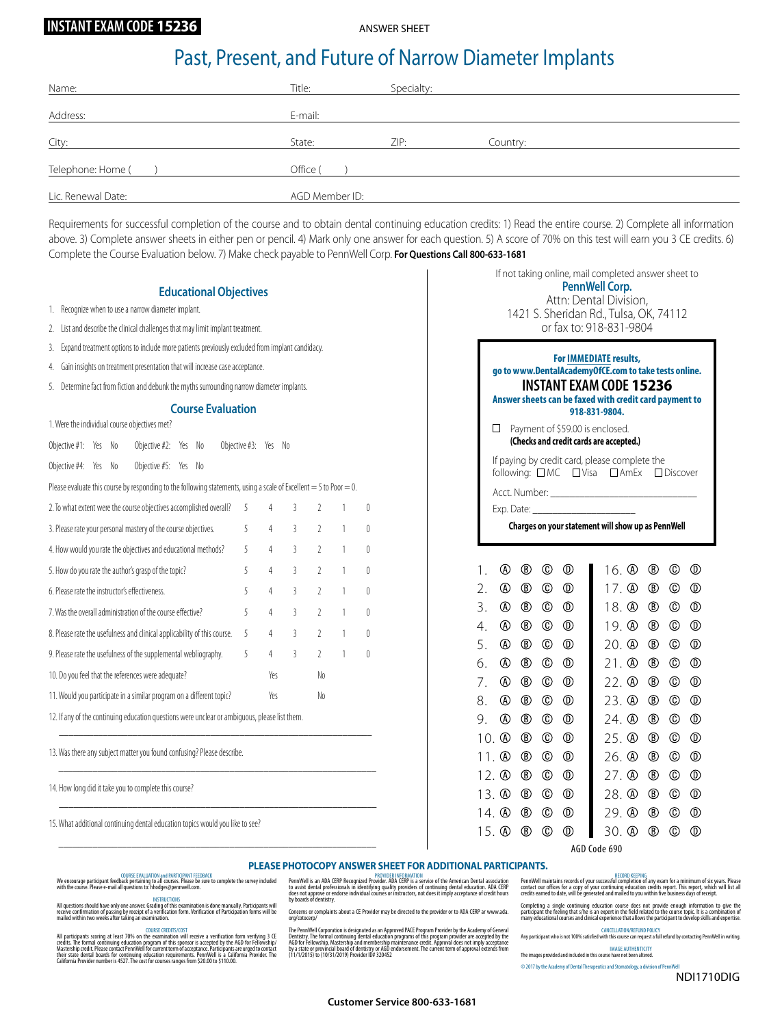#### **INSTANT EXAM CODE 15236**

ANSWER SHEET

### Past, Present, and Future of Narrow Diameter Implants

| Name:              | Title:         | Specialty: |          |
|--------------------|----------------|------------|----------|
| Address:           | E-mail:        |            |          |
| City:              | State:         | ZIP:       | Country: |
| Telephone: Home (  | Office (       |            |          |
| Lic. Renewal Date: | AGD Member ID: |            |          |

Requirements for successful completion of the course and to obtain dental continuing education credits: 1) Read the entire course. 2) Complete all information above. 3) Complete answer sheets in either pen or pencil. 4) Mark only one answer for each question. 5) A score of 70% on this test will earn you 3 CE credits. 6) Complete the Course Evaluation below. 7) Make check payable to PennWell Corp. **For Questions Call 800-633-1681**

#### **Educational Objectives**

- 1. Recognize when to use a narrow diameter implant.
- 2. List and describe the clinical challenges that may limit implant treatment.
- 3. Expand treatment options to include more patients previously excluded from implant candidacy.
- 4. Gain insights on treatment presentation that will increase case acceptance.
- 5. Determine fact from fiction and debunk the myths surrounding narrow diameter implants.

#### **Course Evaluation**

|                                                                          |                                                    |    | 1. Were the individual course objectives met?                                                                          |     |    |                   |                |                |                |          |          |
|--------------------------------------------------------------------------|----------------------------------------------------|----|------------------------------------------------------------------------------------------------------------------------|-----|----|-------------------|----------------|----------------|----------------|----------|----------|
| Objective #1:                                                            | Yes                                                | No | Objective #2: Yes                                                                                                      |     | No | Objective #3: Yes |                | No             |                |          |          |
| Objective #4:                                                            | Yes                                                | No | Objective #5:                                                                                                          | Yes | No |                   |                |                |                |          |          |
|                                                                          |                                                    |    | Please evaluate this course by responding to the following statements, using a scale of Excellent $=$ 5 to Poor $=$ 0. |     |    |                   |                |                |                |          |          |
|                                                                          |                                                    |    | 2. To what extent were the course objectives accomplished overall?                                                     |     |    | 5                 | 4              | 3              | 2              | 1        | $\theta$ |
|                                                                          |                                                    |    | 3. Please rate your personal mastery of the course objectives.                                                         |     |    | 5                 | 4              | $\overline{3}$ | $\overline{2}$ | 1        | $\theta$ |
| 4. How would you rate the objectives and educational methods?            |                                                    |    |                                                                                                                        |     | 5  | 4                 | 3              | $\overline{2}$ | 1              | $\theta$ |          |
| 5. How do you rate the author's grasp of the topic?                      |                                                    |    |                                                                                                                        |     | 5  | 4                 | $\overline{3}$ | $\overline{2}$ | 1              | $\theta$ |          |
| 6. Please rate the instructor's effectiveness.                           |                                                    |    |                                                                                                                        |     | 5  | 4                 | $\overline{3}$ | $\overline{2}$ | 1              | $\theta$ |          |
| 7. Was the overall administration of the course effective?               |                                                    |    |                                                                                                                        |     | 5  | 4                 | $\overline{3}$ | $\mathcal{P}$  | 1              | $\theta$ |          |
| 8. Please rate the usefulness and clinical applicability of this course. |                                                    |    |                                                                                                                        | 5   | 4  | 3                 | $\mathcal{P}$  | 1              | $\theta$       |          |          |
|                                                                          |                                                    |    | 9. Please rate the usefulness of the supplemental webliography.                                                        |     |    | 5                 | 4              | 3              | $\overline{2}$ | 1        | $\theta$ |
|                                                                          | 10. Do you feel that the references were adequate? |    |                                                                                                                        |     |    |                   | Yes            |                | No             |          |          |
|                                                                          |                                                    |    | 11. Would you participate in a similar program on a different topic?                                                   |     |    |                   | Yes            |                | No             |          |          |
|                                                                          |                                                    |    | 12. If any of the continuing education questions were unclear or ambiquous, please list them.                          |     |    |                   |                |                |                |          |          |
|                                                                          |                                                    |    | 13. Was there any subject matter you found confusing? Please describe.                                                 |     |    |                   |                |                |                |          |          |
|                                                                          |                                                    |    | 14. How long did it take you to complete this course?                                                                  |     |    |                   |                |                |                |          |          |
|                                                                          |                                                    |    | 15. What additional continuing dental education topics would you like to see?                                          |     |    |                   |                |                |                |          |          |

 $\mathcal{L}_\text{max}$  and  $\mathcal{L}_\text{max}$  and  $\mathcal{L}_\text{max}$  and  $\mathcal{L}_\text{max}$  and  $\mathcal{L}_\text{max}$  and  $\mathcal{L}_\text{max}$ 

| If not taking online, mail completed answer sheet to<br>PennWell Corp.<br>Attn: Dental Division,<br>1421 S. Sheridan Rd., Tulsa, OK, 74112<br>or fax to: 918-831-9804                               |                |                |                |                                  |                |                |                |                                  |  |  |
|-----------------------------------------------------------------------------------------------------------------------------------------------------------------------------------------------------|----------------|----------------|----------------|----------------------------------|----------------|----------------|----------------|----------------------------------|--|--|
| <b>For IMMEDIATE results,</b><br>go to www.DentalAcademyOfCE.com to take tests online.<br><b>INSTANT EXAM CODE 15236</b><br>Answer sheets can be faxed with credit card payment to<br>918-831-9804. |                |                |                |                                  |                |                |                |                                  |  |  |
| Payment of \$59.00 is enclosed.<br>П<br>(Checks and credit cards are accepted.)                                                                                                                     |                |                |                |                                  |                |                |                |                                  |  |  |
| If paying by credit card, please complete the<br>following: □MC □Visa □ AmEx<br>$\Box$ Discover<br>Charges on your statement will show up as PennWell                                               |                |                |                |                                  |                |                |                |                                  |  |  |
| 1.                                                                                                                                                                                                  | ⊛              | ℗              | ⊚              | ◍                                | $16.$ $\Omega$ | ℗              | ⊚              | $^{\circledR}$                   |  |  |
| 2.                                                                                                                                                                                                  | $^{\circledR}$ | ℗              | $^{\circledR}$ | ⓪                                | 17. ®          | $^\circledR$   |                | $^{\circledR}$                   |  |  |
| 3.                                                                                                                                                                                                  | ⋒              | $^{\circledR}$ |                | $^{\circledR}$                   | 18. A          | ℗              |                | $^{\circledR}$                   |  |  |
| 4.                                                                                                                                                                                                  | ⋒              | $^{\circledR}$ |                | $^{\circledR}$                   | 19. @          | $^{\circledR}$ | ⊙              | $^{\circledR}$                   |  |  |
| 5.                                                                                                                                                                                                  | $^{\circledR}$ | $^{\circledR}$ | $^{\circledR}$ | $^{\circledR}$                   | 20. ®          | $^{\circledR}$ | $^\circledR$   | $^{\circledR}$                   |  |  |
| 6.                                                                                                                                                                                                  | $^{\circledR}$ | $^{\circledR}$ | $^{\circledR}$ | $^{\circledR}$                   | 21. ®          | $^{\circledR}$ | ⊚              | $^{\circledR}$                   |  |  |
| 7.                                                                                                                                                                                                  | $^\circledR$   | ℗              | $^{\circledR}$ | $^{\circledR}$                   | 22. ®          | ℗              |                | $^{\circledR}$                   |  |  |
| 8.                                                                                                                                                                                                  | ⊛              | ®              |                | $^{\circledR}$                   | 23.②           | ®              | ◎              | $^{\circledR}$                   |  |  |
| 9.                                                                                                                                                                                                  | ⋒              | $^{\circledR}$ |                | ◉                                | 24. ®          | $^{\circledR}$ | ◎              | $^{\circledR}$                   |  |  |
|                                                                                                                                                                                                     | $10.$ $\circ$  | ®              | $^{\circledR}$ | $^{\circledR}$                   | $25.$ $\circ$  | $^{\circledR}$ | $^{\circledR}$ | $^{\circledR}$                   |  |  |
|                                                                                                                                                                                                     |                |                |                |                                  |                |                |                |                                  |  |  |
| 11 A                                                                                                                                                                                                |                | ℗              |                | $^{\circledR}$<br>$^{\circledR}$ | 26. ®          | $^{\circledR}$ | $^{\circ}$     | $^{\circledR}$<br>$^{\circledR}$ |  |  |

AGD Code 690

13. 4 ® © <sup>®</sup> 14. 40 (B) (D) (D) 15. 4 ® © <sup>®</sup>

#### **PLEASE PHOTOCOPY ANSWER SHEET FOR ADDITIONAL PARTICIPANTS.**

We encourage participant feedback DOURSE EVALUATION and PARTICIPANT FEEDBACK<br>We encourage participant feedback pertaining to all courses. Please be sure to complete the survey included<br>with the course. Please e-mail all qu

INSTRUCTIONS<br>Receive confirmation of passing by receipt of a verification is done manually. Participants will<br>mailed within two weeks after taking an examination.<br>mailed within two weeks after taking an examination.

All participants scoring at least 70% on the examination will receive a verification form verifying 3 CE<br>redition the formal continuing education program of this sponsor is accepted by the AGD for Fellowship'<br>Mastership cr

PennWell is an ADA CERP Recognized Provivine: NiFONMATION<br>to assist dental professionals in identifying quality providers of continuing dental education. ADA CERP<br>does not approve or endorse individual courses or instructo

Concerns or complaints about a CE Provider may be directed to the provider or to ADA CERP ar www.ada. org/cotocerp/

The PennWell Corporation is designated as an Appoved PACE Program Provider by the Academy of General<br>Dentistry. The formal continuing dental education programs of this program provider are accepted by the<br>MaD for Fellowshi

RECORD KEEPING<br>Contact our offices for a copy of your successful completion of any exam for a minimum of six years. Please<br>Contact our offices for a copy of your continuing education credits report. This report, which will

28. (A) (B) 29. A B C D 30.  $\textcircled{a}$   $\textcircled{b}$   $\textcircled{c}$   $\textcircled{d}$ 

 $\circledcirc$   $\circledcirc$ 

Completing a single continuing education course does not provide enough information to give the<br>participant the feeling that s/he is an expert in the field related to the course topic. It is a combination of<br>many education

CANCELLATION/REFUND POLICY Any participant who is not 100% satisfied with this course can request a full refund by contacting PennWell in writing.

IMAGE AUTHENTICITY The images provided and included in this course have not been altered.

 $© 2017$  by the Academy of Dental Therapeutics and Stomatology, a division of Pe